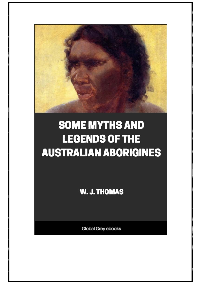

## **SOME MYTHS AND LEGENDS OF THE AUSTRALIAN ABORIGINES**

W. J. THOMAS

Global Grey ebooks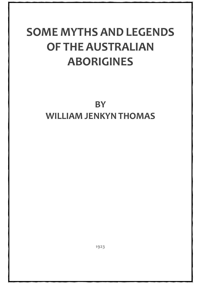# **SOME MYTHS AND LEGENDS OF THE AUSTRALIAN ABORIGINES**

## **BY WILLIAM JENKYN THOMAS**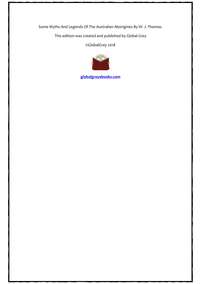Some Myths And Legends Of The Australian Aborigines By W. J. Thomas.

This edition was created and published by Global Grey

©GlobalGrey 2018



**[globalgreyebooks.com](https://www.globalgreyebooks.com/)**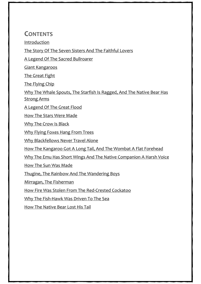### **CONTENTS**

[Introduction](#page-4-0)

The Story Of The Seven [Sisters And The Faithful Lovers](#page-8-0)

[A Legend Of The Sacred Bullroarer](#page-10-0)

[Giant Kangaroos](#page-12-0)

[The Great Fight](#page-14-0)

[The Flying Chip](#page-15-0)

[Why The Whale Spouts, The Starfish Is Ragged, And The Native Bear Has](#page-16-0)  [Strong Arms](#page-16-0)

[A Legend Of The Great Flood](#page-20-0)

[How The Stars Were Made](#page-23-0)

[Why The Crow Is Black](#page-25-0)

[Why Flying Foxes Hang From Trees](#page-27-0)

[Why Blackfellows Never Travel Alone](#page-30-0)

[How The Kangaroo Got A Long Tail, And The Wombat A Flat Forehead](#page-33-0)

[Why The Emu Has Short Wings And The Native Companion A Harsh Voice](#page-36-0)

[How The Sun Was Made](#page-38-0)

[Thugine, The Rainbow And The Wandering Boys](#page-40-0)

[Mirragan, The Fisherman](#page-42-0)

[How Fire Was Stolen From The Red-Crested Cockatoo](#page-46-0)

[Why The Fish-Hawk Was Driven To The Sea](#page-50-0)

[How The Native Bear Lost His Tail](#page-52-0)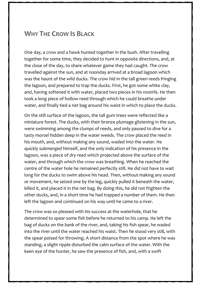### <span id="page-25-0"></span>**WHY THE CROW IS BLACK**

One day, a crow and a hawk hunted together in the bush. After travelling together for some time, they decided to hunt in opposite directions, and, at the close of the day, to share whatever game they had caught. The crow travelled against the sun, and at noonday arrived at a broad lagoon which was the haunt of the wild ducks. The crow hid in the tall green reeds fringing the lagoon, and prepared to trap the ducks. First, he got some white clay, and, having softened it with water, placed two pieces in his nostrils. He then took a long piece of hollow reed through which he could breathe under water, and finally tied a net bag around his waist in which to place the ducks.

On the still surface of the lagoon, the tall gum trees were reflected like a miniature forest. The ducks, with their bronze plumage glistening in the sun, were swimming among the clumps of reeds, and only paused to dive for a tasty morsel hidden deep in the water weeds. The crow placed the reed in his mouth, and, without making any sound, waded into the water. He quickly submerged himself, and the only indication of his presence in the lagoon, was a piece of dry reed which projected above the surface of the water, and through which the crow was breathing. When he reached the centre of the water hole he remained perfectly still. He did not have to wait long for the ducks to swim above his head. Then, without making any sound or movement, he seized one by the leg, quickly pulled it beneath the water, killed it, and placed it in the net bag. By doing this, he did not frighten the other ducks, and, in a short time he had trapped a number of them. He then left the lagoon and continued on his way until he came to a river.

The crow was so pleased with his success at the waterhole, that he determined to spear some fish before he returned to his camp. He left the bag of ducks on the bank of the river, and, taking his fish spear, he waded into the river until the water reached his waist. Then he stood very still, with the spear poised for throwing. A short distance from the spot where he was standing, a slight ripple disturbed the calm surface of the water. With the keen eye of the hunter, he saw the presence of fish, and, with a swift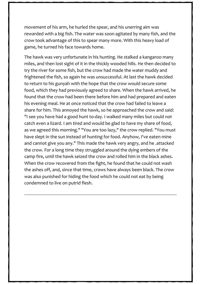movement of his arm, he hurled the spear, and his unerring aim was rewarded with a big fish. The water was soon agitated by many fish, and the crow took advantage of this to spear many more. With this heavy load of game, he turned his face towards home.

The hawk was very unfortunate in his hunting. He stalked a kangaroo many miles, and then lost sight of it in the thickly wooded hills. He then decided to try the river for some fish, but the crow had made the water muddy and frightened the fish, so again he was unsuccessful. At last the hawk decided to return to his gunyah with the hope that the crow would secure some food, which they had previously agreed to share. When the hawk arrived, he found that the crow had been there before him and had prepared and eaten his evening meal. He at once noticed that the crow had failed to leave a share for him. This annoyed the hawk, so he approached the crow and said: "I see you have had a good hunt to-day. I walked many miles but could not catch even a lizard. I am tired and would be glad to have my share of food, as we agreed this morning." "You are too lazy," the crow replied. "You must have slept in the sun instead of hunting for food. Anyhow, I've eaten mine and cannot give you any." This made the hawk very angry, and he .attacked the crow. For a long time they struggled around the dying embers of the camp fire, until the hawk seized the crow and rolled him in the black ashes. When the crow recovered from the fight, he found that he could not wash the ashes off, and, since that time, crows have always been black. The crow was also punished for hiding the food which he could not eat by being condemned to live on putrid flesh.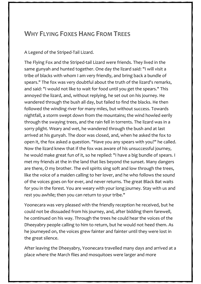### <span id="page-27-0"></span>**WHY FLYING FOXES HANG FROM TREES**

#### A Legend of the Striped-Tail Lizard.

The Flying Fox and the Striped-tail Lizard were friends. They lived in the same gunyah and hunted together. One day the lizard said: "I will visit a tribe of blacks with whom I am very friendly, and bring back a bundle of spears." The fox was very doubtful about the truth of the lizard's remarks, and said: "I would not like to wait for food until you get the spears." This annoyed the lizard, and, without replying, he set out on his journey. He wandered through the bush all day, but failed to find the blacks. He then followed the winding river for many miles, but without success. Towards nightfall, a storm swept down from the mountains; the wind howled eerily through the swaying trees, and the rain fell in torrents. The lizard was in a sorry plight. Weary and wet, he wandered through the bush and at last arrived at his gunyah. The door was closed, and, when he asked the fox to open it, the fox asked a question. "Have you any spears with you?" he called. Now the lizard knew that if the fox was aware of his unsuccessful journey, he would make great fun of it, so he replied: "I have a big bundle of spears. I met my friends at the in the land that lies beyond the sunset. Many dangers are there, O my brother. The evil spirits sing soft and low through the trees, like the voice of a maiden calling to her lover, and he who follows the sound of the voices goes on for ever, and never returns. The great Black Bat waits for you in the forest. You are weary with your long journey. Stay with us and rest you awhile; then you can return to your tribe."

Yoonecara was very pleased with the friendly reception he received, but he could not be dissuaded from his journey, and, after bidding them farewell, he continued on his way. Through the trees he could hear the voices of the Dheeyabry people calling to him to return, but he would not heed them. As he journeyed on, the voices grew fainter and fainter until they were lost in the great silence.

After leaving the Dheeyabry, Yoonecara travelled many days and arrived at a place where the March flies and mosquitoes were larger and more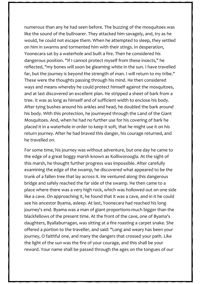numerous than any he had seen before. The buzzing of the mosquitoes was like the sound of the bullroarer. They attacked him savagely, and, try as he would, he could not escape them. When he attempted to sleep, they settled on him in swarms and tormented him with their stings. In desperation, Yoonecara sat by a waterhole and built a fire. Then he considered his dangerous position. "If I cannot protect myself from these insects," he reflected, "my bones will soon be gleaming white in the sun. I have travelled far, but the journey is beyond the strength of man. I will return to my tribe." These were the thoughts passing through his mind. He then considered ways and means whereby he could protect himself against the mosquitoes, and at last discovered an excellent plan. He stripped a sheet of bark from a tree. It was as long as himself and of sufficient width to enclose his body. After tying bushes around his ankles and head, he doubled the bark around his body. With this protection, he journeyed through the Land of the Giant Mosquitoes. And, when he had no further use for his covering of bark he placed it in a waterhole in order to keep it soft, that he might use it on his return journey. After he had braved this danger, his courage returned, and he travelled on.

For some time, his journey was without adventure, but one day he came to the edge of a great boggy marsh known as Kolliworoogla. At the sight of this marsh, he thought further progress was impossible. After carefully examining the edge of the swamp, he discovered what appeared to be the trunk of a fallen tree that lay across it. He ventured along this dangerous bridge and safely reached the far side of the swamp. He then came to a place where there was a very high rock, which was hollowed out on one side like a cave. On approaching it, he found that it was a cave, and in it he could see his ancestor Byama, asleep. At last, Yoonecara had reached his long journey's end. Byama was a man of giant proportions-much bigger than the blackfellows of the present time. At the front of the cave, one of Byama's daughters, Byallaburragan, was sitting at a fire roasting a carpet snake. She offered a portion to the traveller, and said: "Long and weary has been your journey, O faithful one, and many the dangers that crossed your path. Like the light of the sun was the fire of your courage, and this shall be your reward. Your name shall be passed through the ages on the tongues of our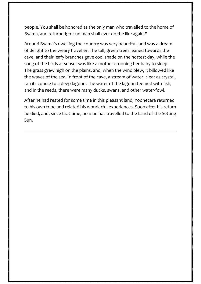people. You shall be honored as the only man who travelled to the home of Byama, and returned; for no man shall ever do the like again."

Around Byama's dwelling the country was very beautiful, and was a dream of delight to the weary traveller. The tall, green trees leaned towards the cave, and their leafy branches gave cool shade on the hottest day, while the song of the birds at sunset was like a mother crooning her baby to sleep. The grass grew high on the plains, and, when the wind blew, it billowed like the waves of the sea. In front of the cave, a stream of water, clear as crystal, ran its course to a deep lagoon. The water of the lagoon teemed with fish, and in the reeds, there were many ducks, swans, and other water-fowl.

After he had rested for some time in this pleasant land, Yoonecara returned to his own tribe and related his wonderful experiences. Soon after his return he died, and, since that time, no man has travelled to the Land of the Setting Sun.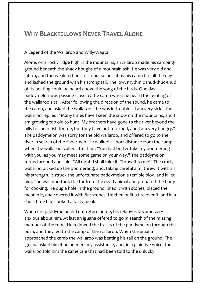### <span id="page-30-0"></span>**WHY BLACKFELLOWS NEVER TRAVEL ALONE**

#### A Legend of the Wallaroo and Willy-Wagtail

Alone, on a rocky ridge high in the mountains, a wallaroo made his campingground beneath the shady boughs of a mountain ash. He was very old and infirm, and too weak to hunt for food, so he sat by his camp fire all the day and lashed the ground with his strong tail. The low, rhythmic thud-thud-thud of its beating could be heard above the song of the birds. One day a paddymelon was passing close by the camp when he heard the beating of the wallaroo's tail. After following the direction of the sound, he came to the camp, and asked the wallaroo if he was in trouble. "I am very sick," the wallaroo replied. "Many times have I seen the snow on the mountains, and I am growing too old to hunt. My brothers have gone to the river beyond the hills to spear fish for me, but they have not returned, and I am very hungry." The paddymelon was sorry for the old wallaroo, and offered to go to the river in search of the fishermen. He walked a short distance from the camp when the wallaroo, called after him: "You had better take my boomerang with you, as you may meet some game on your way." The paddymelon turned around and said: "All right, I shall take it. Throw it to me!" The crafty wallaroo picked up the boomerang, and, taking careful aim, threw it with all his strength. It struck the unfortunate paddymelon a terrible blow and killed him. The wallaroo took the fur from the dead animal and prepared the body for cooking. He dug a hole in the ground, lined it with stones, placed the meat in it, and covered it with flat stones. He then built a fire over it, and in a short time had cooked a tasty meal.

When the paddymelon did not return home, his relatives became very anxious about him. At last an iguana offered to go in search of the missing member of the tribe. He followed the tracks of the paddymelon through the bush, and they led to the camp of the wallaroo. When the iguana approached the camp the wallaroo was beating his tail on the ground. The iguana asked him if he needed any assistance, and, in a plaintive voice, the wallaroo told him the same tale that had been told to the unlucky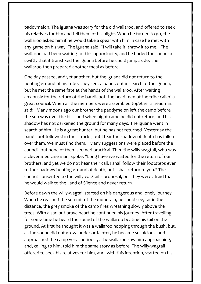paddymelon. The iguana was sorry for the old wallaroo, and offered to seek his relatives for him and tell them of his plight. When he turned to go, the wallaroo asked him if he would take a spear with him in case he met with any game on his way. The iguana said, "I will take it; throw it to me." The wallaroo had been waiting for this opportunity, and he hurled the spear so swiftly that it transfixed the iguana before he could jump aside. The wallaroo then prepared another meal as before.

One day passed, and yet another, but the iguana did not return to the hunting ground of his tribe. They sent a bandicoot in search of the iguana, but he met the same fate at the hands of the wallaroo. After waiting anxiously for the return of the bandicoot, the head-men of the tribe called a great council. When all the members were assembled together a headman said: "Many moons ago our brother the paddymelon left the camp before the sun was over the hills, and when night came he did not return, and his shadow has not darkened the ground for many days. The iguana went in search of him. He is a great hunter, but he has not returned. Yesterday the bandicoot followed in their tracks, but I fear the shadow of death has fallen over them. We must find them." Many suggestions were placed before the council, but none of them seemed practical. Then the willy-wagtail, who was a clever medicine man, spoke: "Long have we waited for the return of our brothers, and yet we do not hear their call. I shall follow their footsteps even to the shadowy hunting ground of death, but I shall return to you." The council consented to the willy-wagtail's proposal, but they were afraid that he would walk to the Land of Silence and never return.

Before dawn the willy-wagtail started on his dangerous and lonely journey. When he reached the summit of the mountain, he could see, far in the distance, the grey smoke of the camp fires wreathing slowly above the trees. With a sad but brave heart he continued his journey. After travelling for some time he heard the sound of the wallaroo beating his tail on the ground. At first he thought it was a wallaroo hopping through the bush, but, as the sound did not grow louder or fainter, he became suspicious, and approached the camp very cautiously. The wallaroo saw him approaching, and, calling to him, told him the same story as before. The willy-wagtail offered to seek his relatives for him, and, with this intention, started on his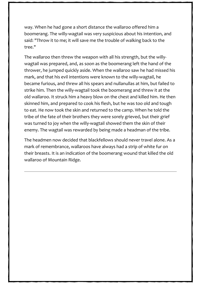way. When he had gone a short distance the wallaroo offered him a boomerang. The willy-wagtail was very suspicious about his intention, and said: "Throw it to me; it will save me the trouble of walking back to the tree."

The wallaroo then threw the weapon with all his strength, but the willywagtail was prepared, and, as soon as the boomerang left the hand of the thrower, he jumped quickly aside. When the wallaroo saw he had missed his mark, and that his evil intentions were known to the willy-wagtail, he became furious, and threw all his spears and nullanullas at him, but failed to strike him. Then the willy-wagtail took the boomerang and threw it at the old wallaroo. It struck him a heavy blow on the chest and killed him. He then skinned him, and prepared to cook his flesh, but he was too old and tough to eat. He now took the skin and returned to the camp. When he told the tribe of the fate of their brothers they were sorely grieved, but their grief was turned to joy when the willy-wagtail showed them the skin of their enemy. The wagtail was rewarded by being made a headman of the tribe.

The headmen now decided that blackfellows should never travel alone. As a mark of remembrance, wallaroos have always had a strip of white fur on their breasts. It is an indication of the boomerang wound that killed the old wallaroo of Mountain Ridge.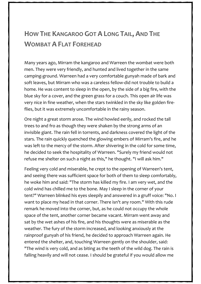### <span id="page-33-0"></span>**HOW THE KANGAROO GOT A LONG TAIL, AND THE WOMBAT A FLAT FORFHEAD**

Many years ago, Mirram the kangaroo and Warreen the wombat were both men. They were very friendly, and hunted and lived together in the same camping-ground. Warreen had a very comfortable gunyah made of bark and soft leaves, but Mirram who was a careless fellow-did not trouble to build a home. He was content to sleep in the open, by the side of a big fire, with the blue sky for a cover, and the green grass for a couch. This open air life was very nice in fine weather, when the stars twinkled in the sky like golden fireflies, but it was extremely uncomfortable in the rainy season.

Ore night a great storm arose. The wind howled eerily, and rocked the tall trees to and fro as though they were shaken by the strong arms of an invisible giant. The rain fell in torrents, and darkness covered the light of the stars. The rain quickly quenched the glowing embers of Mirram's fire, and he was left to the mercy of the storm. After shivering in the cold for some time, he decided to seek the hospitality of Warreen. "Surely my friend would not refuse me shelter on such a night as this," he thought. "I will ask him."

Feeling very cold and miserable, he crept to the opening of Warreen's tent, and seeing there was sufficient space for both of them to sleep comfortably, he woke him and said: "The storm has killed my fire. I am very wet, and the cold wind has chilled me to the bone. May I sleep in the corner of your tent?" Warreen blinked his eyes sleepily and answered in a gruff voice: "No. I want to place my head in that corner. There isn't any room." With this rude remark he moved into the corner, but, as he could not occupy the whole space of the tent, another corner became vacant. Mirram went away and sat by the wet ashes of his fire, and his thoughts were as miserable as the weather. The fury of the storm increased, and looking anxiously at the rainproof gunyah of his friend, he decided to approach Warreen again. He entered the shelter, and, touching Warreen gently on the shoulder, said: "The wind is very cold, and as biting as the teeth of the wild dog. The rain is falling heavily and will not cease. I should be grateful if you would allow me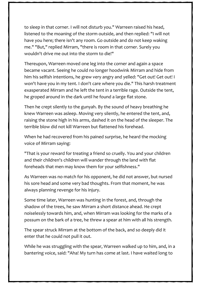to sleep in that corner. I will not disturb you." Warreen raised his head, listened to the moaning of the storm outside, and then replied: "I will not have you here; there isn't any room. Go outside and do not keep waking me." "But," replied Mirram, "there is room in that corner. Surely you wouldn't drive me out into the storm to die!"

Thereupon, Warreen moved one leg into the corner and again a space became vacant. Seeing he could no longer hoodwink Mirram and hide from him his selfish intentions, he grew very angry and yelled: "Get out! Get out! I won't have you in my tent. I don't care where you die." This harsh treatment exasperated Mirram and he left the tent in a terrible rage. Outside the tent, he groped around in the dark until he found a large flat stone.

Then he crept silently to the gunyah. By the sound of heavy breathing he knew Warreen was asleep. Moving very silently, he entered the tent, and, raising the stone high in his arms, dashed it on the head of the sleeper. The terrible blow did not kill Warreen but flattened his forehead.

When he had recovered from his pained surprise, he heard the mocking voice of Mirram saying:

"That is your reward for treating a friend so cruelly. You and your children and their children's children will wander through the land with flat foreheads that men may know them for your selfishness."

As Warreen was no match for his opponent, he did not answer, but nursed his sore head and some very bad thoughts. From that moment, he was always planning revenge for his injury.

Some time later, Warreen was hunting in the forest, and, through the shadow of the trees, he saw Mirram a short distance ahead. He crept noiselessly towards him, and, when Mirram was looking for the marks of a possum on the bark of a tree, he threw a spear at him with all his strength.

The spear struck Mirram at the bottom of the back, and so deeply did it enter that he could not pull it out.

While he was struggling with the spear, Warreen walked up to him, and, in a bantering voice, said: "Aha! My turn has come at last. I have waited long to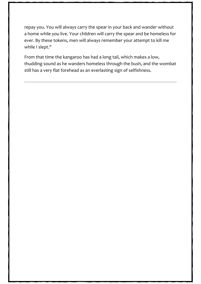repay you. You will always carry the spear in your back and wander without a home while you live. Your children will carry the spear and be homeless for ever. By these tokens, men will always remember your attempt to kill me while I slept."

From that time the kangaroo has had a long tail, which makes a low, thudding sound as he wanders homeless through the bush, and the wombat still has a very flat forehead as an everlasting sign of selfishness.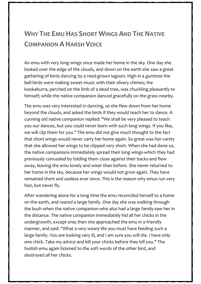### <span id="page-36-0"></span>**WHY THE EMU HAS SHORT WINGS AND THE NATIVE COMPANION A HARSH VOICE**

An emu with very long wings once made her home in the sky. One day she looked over the edge of the clouds, and down on the earth she saw a great gathering of birds dancing by a reed-grown lagoon. High in a gumtree the bell birds were making sweet music with their silvery chimes; the kookaburra, perched on the limb of a dead tree, was chuckling pleasantly to himself; while the native companion danced gracefully on the grass nearby.

The emu was very interested in dancing, so she flew down from her home beyond the clouds, and asked the birds if they would teach her to dance. A cunning old native companion replied: "We shall be very pleased to teach you our dances, but you could never learn with such long wings. If you like, we will clip them for you." The emu did not give much thought to the fact that short wings would never carry her home again. So great was her vanity that she allowed her wings to be clipped very short. When she had done so, the native companions immediately spread their long wings-which they had previously concealed by folding them close against their backs-and flew away, leaving the emu lonely and wiser than before. She never returned to her home in the sky, because her wings would not grow again. They have remained short and useless ever since. This is the reason why emus run very fast, but never fly.

After wandering alone for a long time the emu reconciled herself to a home on the earth, and reared a large family. One day she was walking through the bush when the native companion-who also had a large family-saw her in the distance. The native companion immediately hid all her chicks in the undergrowth, except one; then she approached the emu in a friendly manner, and said: "What a very weary life you must have feeding such a large family. You are looking very ill, and I am sure you will die. I have only one chick. Take my advice and kill your chicks before they kill you." The foolish emu again listened to the soft words of the other bird, and destroyed all her chicks.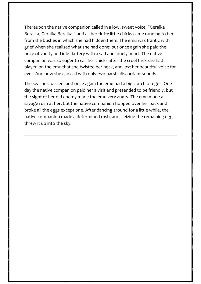Thereupon the native companion called in a low, sweet voice, "Geralka Beralka, Geralka Beralka," and all her fluffy little chicks came running to her from the bushes in which she had hidden them. The emu was frantic with grief when she realised what she had done; but once again she paid the price of vanity and idle flattery with a sad and lonely heart. The native companion was so eager to call her chicks after the cruel trick she had played on the emu that she twisted her neck, and lost her beautiful voice for ever. And now she can call with only two harsh, discordant sounds.

The seasons passed, and once again the emu had a big clutch of eggs. One day the native companion paid her a visit and pretended to be friendly, but the sight of her old enemy made the emu very angry. The emu made a savage rush at her, but the native companion hopped over her back and broke all the eggs except one. After dancing around for a little while, the native companion made a determined rush, and, seizing the remaining egg, threw it up into the sky.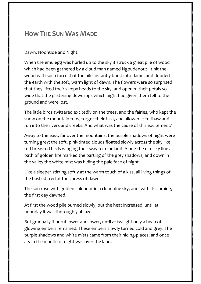### <span id="page-38-0"></span>**HOW THE SUN WAS MADE**

Dawn, Noontide and Night.

When the emu egg was hurled up to the sky it struck a great pile of wood which had been gathered by a cloud man named Ngoudenout. It hit the wood with such force that the pile instantly burst into flame, and flooded the earth with the soft, warm light of dawn. The flowers were so surprised that they lifted their sleepy heads to the sky, and opened their petals so wide that the glistening dewdrops which night had given them fell to the ground and were lost.

The little birds twittered excitedly on the trees, and the fairies, who kept the snow on the mountain tops, forgot their task, and allowed it to thaw and run into the rivers and creeks. And what was the cause of this excitement?

Away to the east, far over the mountains, the purple shadows of night were turning grey; the soft, pink-tinted clouds floated slowly across the sky like red-breasted birds winging their way to a far land. Along the dim sky-line a path of golden fire marked the parting of the grey shadows, and down in the valley the white mist was hiding the pale face of night.

Like a sleeper stirring softly at the warm touch of a kiss, all living things of the bush stirred at the caress of dawn.

The sun rose with golden splendor in a clear blue sky, and, with its coming, the first day dawned.

At first the wood pile burned slowly, but the heat increased, until at noonday it was thoroughly ablaze.

But gradually it burnt lower and lower, until at twilight only a heap of glowing embers remained. These embers slowly turned cold and grey. The purple shadows and white mists came from their hiding-places, and once again the mantle of night was over the land.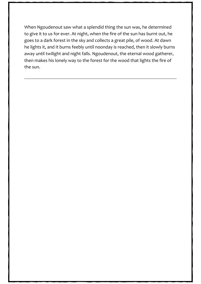When Ngoudenout saw what a splendid thing the sun was, he determined to give it to us for ever. At night, when the fire of the sun has burnt out, he goes to a dark forest in the sky and collects a great pile, of wood. At dawn he lights it, and it burns feebly until noonday is reached, then it slowly burns away until twilight and night falls. Ngoudenout, the eternal wood gatherer, then makes his lonely way to the forest for the wood that lights the fire of the sun.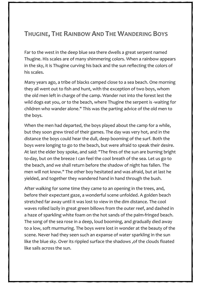### <span id="page-40-0"></span>**THUGINE, THE RAINBOW AND THE WANDERING BOYS**

Far to the west in the deep blue sea there dwells a great serpent named Thugine. His scales are of many shimmering colors. When a rainbow appears in the sky, it is Thugine curving his back and the sun reflecting the colors of his scales.

Many years ago, a tribe of blacks camped close to a sea beach. One morning they all went out to fish and hunt, with the exception of two boys, whom the old men left in charge of the camp. Wander not into the forest lest the wild dogs eat you, or to the beach, where Thugine the serpent is -waiting for children who wander alone." This was the parting advice of the old men to the boys.

When the men had departed, the boys played about the camp for a while, but they soon grew tired of their games. The day was very hot, and in the distance the boys could hear the dull, deep booming of the surf. Both the boys were longing to go to the beach, but were afraid to speak their desire. At last the elder boy spoke, and said: "The fires of the sun are burning bright to-day, but on the breeze I can feel the cool breath of the sea. Let us go to the beach, and we shall return before the shadow of night has fallen. The men will not know." The other boy hesitated and was afraid, but at last he yielded, and together they wandered hand in hand through the bush.

After walking for some time they came to an opening in the trees, and, before their expectant gaze, a wonderful scene unfolded. A golden beach stretched far away until it was lost to view in the dim distance. The cool waves rolled lazily in great green billows from the outer reef, and dashed in a haze of sparkling white foam on the hot sands of the palm-fringed beach. The song of the sea rose in a deep, loud booming, and gradually died away to a low, soft murmuring. The boys were lost in wonder at the beauty of the scene. Never had they seen such an expanse of water sparkling in the sun like the blue sky. Over its rippled surface the shadows ,of the clouds floated like sails across the sun.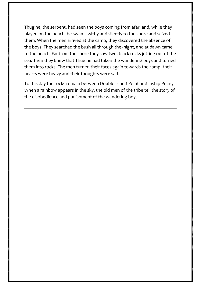Thugine, the serpent, had seen the boys coming from afar, and, while they played on the beach, he swam swiftly and silently to the shore and seized them. When the men arrived at the camp, they discovered the absence of the boys. They searched the bush all through the -night, and at dawn came to the beach. Far from the shore they saw two, black rocks jutting out of the sea. Then they knew that Thugine had taken the wandering boys and turned them into rocks. The men turned their faces again towards the camp; their hearts were heavy and their thoughts were sad.

To this day the rocks remain between Double Island Point and Inship Point, When a rainbow appears in the sky, the old men of the tribe tell the story of the disobedience and punishment of the wandering boys.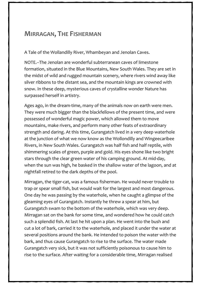### <span id="page-42-0"></span>**MIRRAGAN, THE FISHERMAN**

A Tale of the Wollandilly River, Whambeyan and Jenolan Caves.

NOTE.--The Jenolan are wonderful subterranean caves of limestone formation, situated in the Blue Mountains, New South Wales. They are set in the midst of wild and rugged mountain scenery, where rivers wind away like silver ribbons to the distant sea, and the mountain kings are crowned with snow. In these deep, mysterious caves of crystalline wonder Nature has surpassed herself in artistry.

Ages ago, in the dream-time, many of the animals now on earth were men. They were much bigger than the blackfellows of the present time, and were possessed of wonderful magic power, which allowed them to move mountains, make rivers, and perform many other feats of extraordinary strength and daring. At this time, Gurangatch lived in a very deep waterhole at the junction of what we now know as the Wollondilly and Wingeecaribee Rivers, in New South Wales. Gurangatch was half fish and half reptile, with shimmering scales of green, purple and gold. His eyes shone like two bright stars through the clear green water of his camping ground. At mid-day, when the sun was high, he basked in the shallow water of the lagoon, and at nightfall retired to the dark depths of the pool.

Mirragan, the tiger-cat, was a famous fisherman. He would never trouble to trap or spear small fish, but would wait for the largest and most dangerous. One day he was passing by the waterhole, when he caught a glimpse of the gleaming eyes of Gurangatch. Instantly he threw a spear at him, but Gurangatch swam to the bottom of the waterhole, which was very deep. Mirragan sat on the bank for some time, and wondered how he could catch such a splendid fish. At last he hit upon a plan. He went into the bush and cut a lot of bark, carried it to the waterhole, and placed it under the water at several positions around the bank. He intended to poison the water with the bark, and thus cause Gurangatch to rise to the surface. The water made Gurangatch very sick, but it was not sufficiently poisonous to cause him to rise to the surface. After waiting for a considerable time, Mirragan realised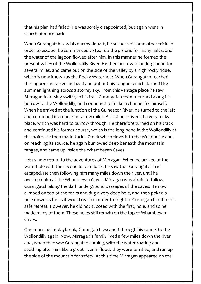that his plan had failed. He was sorely disappointed, but again went in search of more bark.

When Gurangatch saw his enemy depart, he suspected some other trick. In order to escape, he commenced to tear up the ground for many miles, and the water of the lagoon flowed after him. In this manner he formed the present valley of the Wollondilly River. He then burrowed underground for several miles, and came out on the side of the valley by a high rocky ridge, which is now known as the Rocky Waterhole. When Gurangatch reached this lagoon, he raised his head and put out his tongue, which flashed like summer lightning across a stormy sky. From this vantage place he saw Mirragan following swiftly in his trail. Gurangatch then re turned along his burrow to the Wollondilly, and continued to make a channel for himself. When he arrived at the junction of the Guineacor River, he turned to the left and continued its course for a few miles. At last he arrived at a very rocky place, which was hard to burrow through. He therefore turned on his track and continued his former course, which is the long bend in the Wollondilly at this point. He then made Jock's Creek-which flows into the Wollondilly-and, on reaching its source, he again burrowed deep beneath the mountain ranges, and came up inside the Whambeyan Caves.

Let us now return to the adventures of Mirragan. When he arrived at the waterhole with the second load of bark, he saw that Gurangatch had escaped. He then following him many miles down the river, until he overtook him at the Whambeyan Caves. Mirragan was afraid to follow Gurangatch along the dark underground passages of the caves. He now climbed on top of the rocks and dug a very deep hole, and then poked a pole down as far as it would reach in order to frighten Gurangatch out of his safe retreat. However, he did not succeed with the first, hole, and so he made many of them. These holes still remain on the top of Whambeyan Caves.

One morning, at daybreak, Gurangatch escaped through his tunnel to the Wollondilly again. Now, Mirragan's family lived a few miles down the river and, when they saw Gurangatch coming, with the water roaring and seething after him like a great river in flood, they were terrified, and ran up the side of the mountain for safety. At this time Mirragan appeared on the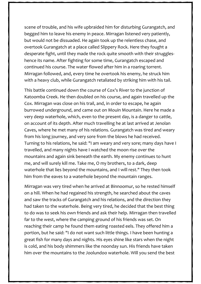scene of trouble, and his wife upbraided him for disturbing Gurangatch, and begged him to leave his enemy in peace. Mirragan listened very patiently, but would not be dissuaded. He again took up the relentless chase, and overtook Gurangatch at a place called Slippery Rock. Here they fought a desperate fight, until they made the rock quite smooth with their struggleshence its name. After fighting for some time, Gurangatch escaped and continued his course. The water flowed after him in a roaring torrent. Mirragan followed, and, every time he overtook his enemy, he struck him with a heavy club, while Gurangatch retaliated by striking him with his tail.

This battle continued down the course of Cox's River to the junction of Katoomba Creek. He then doubled on his course, and again travelled up the Cox. Mirragan was close on his trail, and, in order to escape, he again burrowed underground, and came out on Mouin Mountain. Here he made a very deep waterhole, which, even to the present day, is a danger to cattle, on account of its depth. After much travelling he at last arrived at Jenolan Caves, where he met many of his relations. Gurangatch was tired and weary from his long journey, and very sore from the blows he had received. Turning to his relations, he said: "I am weary and very sore; many days have I travelled, and many nights have I watched the moon rise over the mountains and again sink beneath the earth. My enemy continues to hunt me, and will surely kill me. Take me, O my brothers, to a dark, deep waterhole that lies beyond the mountains, and I will rest." They then took him from the eaves to a waterhole beyond the mountain ranges.

Mirragan was very tired when he arrived at Binnoomur, so he rested himself on a hill. When he had regained his strength, he searched about the caves and saw the tracks of Gurangatch and his relations, and the direction they had taken to the waterhole. Being very tired, he decided that the best thing to do was to seek his own friends and ask their help. Mirragan then travelled far to the west, where the camping ground of his friends was set. On reaching their camp he found them eating roasted eels. They offered him a portion, but he said: "I do not want such little things. I have been hunting a great fish for many days and nights. His eyes shine like stars when the night is cold, and his body shimmers like the noonday sun. His friends have taken him over the mountains to the Joolundoo waterhole. Will you send the best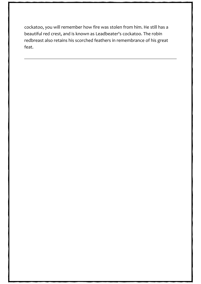cockatoo, you will remember how fire was stolen from him. He still has a beautiful red crest, and is known as Leadbeater's cockatoo. The robin redbreast also retains his scorched feathers in remembrance of his great feat.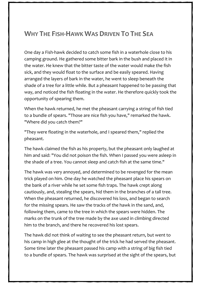### <span id="page-50-0"></span>**WHY THE FISH-HAWK WAS DRIVEN TO THE SEA**

One day a Fish-hawk decided to catch some fish in a waterhole close to his camping ground. He gathered some bitter bark in the bush and placed it in the water. He knew that the bitter taste of the water would make the fish sick, and they would float to the surface and be easily speared. Having arranged the layers of bark in the water, he went to sleep beneath the shade of a tree for a little while. But a pheasant happened to be passing that way, and noticed the fish floating in the water. He therefore quickly took the opportunity of spearing them.

When the hawk returned, he met the pheasant carrying a string of fish tied to a bundle of spears. "Those are nice fish you have," remarked the hawk. "Where did you catch them?"

"They were floating in the waterhole, and I speared them," replied the pheasant.

The hawk claimed the fish as his property, but the pheasant only laughed at him and said: "You did not poison the fish. When I passed you were asleep in the shade of a tree. You cannot sleep and catch fish at the same time."

The hawk was very annoyed, and determined to be revenged for the mean trick played on him. One day he watched the pheasant place his spears on the bank of a river while he set some fish traps. The hawk crept along cautiously, and, stealing the spears, hid them in the branches of a tall tree. When the pheasant returned, he discovered his loss, and began to search for the missing spears. He saw the tracks of the hawk in the sand, and, following them, came to the tree in which the spears were hidden. The marks on the trunk of the tree made by the axe used in climbing directed him to the branch, and there he recovered his lost spears.

The hawk did not think of waiting to see the pheasant return, but went to his camp in high glee at the thought of the trick he had served the pheasant. Some time later the pheasant passed his camp with a string of big fish tied to a bundle of spears. The hawk was surprised at the sight of the spears, but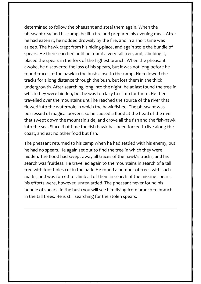determined to follow the pheasant and steal them again. When the pheasant reached his camp, he lit a fire and prepared his evening meal. After he had eaten it, he nodded drowsily by the fire, and in a short time was asleep. The hawk crept from his hiding-place, and again stole the bundle of spears. He then searched until he found a very tall tree, and, climbing it, placed the spears in the fork of the highest branch. When the pheasant awoke, he discovered the loss of his spears, but it was not long before he found traces of the hawk in the bush close to the camp. He followed the tracks for a long distance through the bush, but lost them in the thick undergrowth. After searching long into the night, he at last found the tree in which they were hidden, but he was too lazy to climb for them. He then travelled over the mountains until he reached the source of the river that flowed into the waterhole in which the hawk fished. The pheasant was possessed of magical powers, so he caused a flood at the head of the river that swept down the mountain side, and drove all the fish and the fish-hawk into the sea. Since that time the fish-hawk has been forced to live along the coast, and eat no other food but fish.

The pheasant returned to his camp when he had settled with his enemy, but he had no spears. He again set out to find the tree in which they were hidden. The flood had swept away all traces of the hawk's tracks, and his search was fruitless. He travelled again to the mountains in search of a tall tree with foot holes cut in the bark. He found a number of trees with such marks, and was forced to climb all of them in search of the missing spears. his efforts were, however, unrewarded. The pheasant never found his bundle of spears. In the bush you will see him flying from branch to branch in the tall trees. He is still searching for the stolen spears.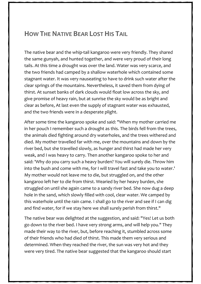### <span id="page-52-0"></span>**HOW THE NATIVE BEAR LOST HIS TAIL**

The native bear and the whip-tail kangaroo were very friendly. They shared the same gunyah, and hunted together, and were very proud of their long tails. At this time a drought was over the land. Water was very scarce, and the two friends had camped by a shallow waterhole which contained some stagnant water. It was very nauseating to have to drink such water after the clear springs of the mountains. Nevertheless, it saved them from dying of thirst. At sunset banks of dark clouds would float low across the sky, and give promise of heavy rain, but at sunrise the sky would be as bright and clear as before, At last even the supply of stagnant water was exhausted, and the two friends were in a desperate plight.

After some time the kangaroo spoke and said: "When my mother carried me in her pouch I remember such a drought as this. The birds fell from the trees, the animals died fighting around dry waterholes, and the trees withered and died. My mother travelled far with me, over the mountains and down by the river bed, but she travelled slowly, as hunger and thirst had made her very weak, and I was heavy to carry. Then another kangaroo spoke to her and said: 'Why do you carry such a heavy burden? You will surely die. Throw him into the bush and come with me, for I will travel fast and take you to water.' My mother would not leave me to die, but struggled on, and the other kangaroo left her to die from thirst. Wearied by her heavy burden, she struggled on until she again came to a sandy river bed. She now dug a deep hole in the sand, which slowly filled with cool, clear water. We camped by this waterhole until the rain came. I shall go to the river and see if I can dig and find water, for if we stay here we shall surely perish from thirst."

The native bear was delighted at the suggestion, and said: "Yes! Let us both go down to the river bed. I have very strong arms, and will help you." They made their way to the river, but, before reaching it, stumbled across some of their friends who had died of thirst. This made them very serious and determined. When they reached the river, the sun was very hot and they were very tired. The native bear suggested that the kangaroo should start